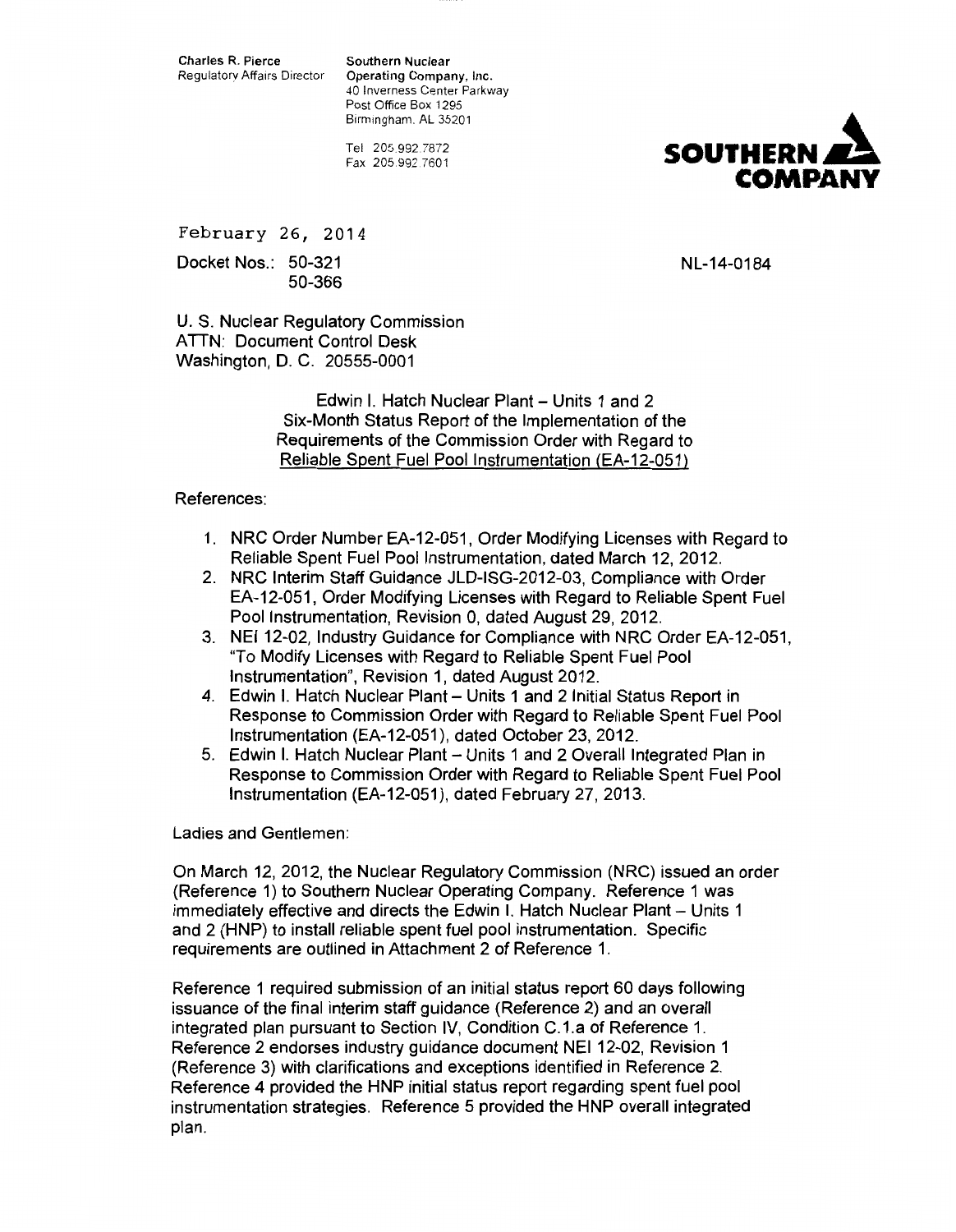Charles R. Pierce Southern Nuclear<br>Requlatory Affairs Director Operating Compa

Operating Company, Inc. 40 Inverness Center Parkway Post Office Box 1295 Birmingham. AL 35201

Tel 205.992.7872 Fax 205.992.7601



February 26, 2014

Docket Nos.: 50-321 50-366 NL-14-0184

U. S. Nuclear Regulatory Commission ATTN: Document Control Desk Washington, D. C. 20555-0001

> Edwin I. Hatch Nuclear Plant- Units 1 and 2 Six-Month Status Report of the Implementation of the Requirements of the Commission Order with Regard to Reliable Spent Fuel Pool Instrumentation (EA-12-051)

# References:

- 1. NRC Order Number EA-12-051, Order Modifying Licenses with Regard to Reliable Spent Fuel Pool Instrumentation, dated March 12, 2012.
- 2. NRC Interim Staff Guidance JLD-ISG-2012-03, Compliance with Order EA-12-051, Order Modifying Licenses with Regard to Reliable Spent Fuel Pool Instrumentation, Revision 0, dated August 29, 2012.
- 3. NEI12-02, Industry Guidance for Compliance with NRC Order EA-12-051, "To Modify Licenses with Regard to Reliable Spent Fuel Pool Instrumentation", Revision 1, dated August 2012.
- 4. Edwin I. Hatch Nuclear Plant- Units 1 and 2 Initial Status Report in Response to Commission Order with Regard to Reliable Spent Fuel Pool Instrumentation (EA-12-051 ), dated October 23, 2012.
- 5. Edwin I. Hatch Nuclear Plant- Units 1 and 2 Overall Integrated Plan in Response to Commission Order with Regard to Reliable Spent Fuel Pool Instrumentation (EA-12-051 ), dated February 27, 2013.

Ladies and Gentlemen:

On March 12, 2012, the Nuclear Regulatory Commission (NRC) issued an order (Reference 1) to Southern Nuclear Operating Company. Reference 1 was immediately effective and directs the Edwin I. Hatch Nuclear Plant - Units 1 and 2 (HNP) to install reliable spent fuel pool instrumentation. Specific requirements are outlined in Attachment 2 of Reference 1.

Reference 1 required submission of an initial status report 60 days following issuance of the final interim staff guidance (Reference 2) and an overall integrated plan pursuant to Section IV, Condition C.1.a of Reference 1. Reference 2 endorses industry guidance document NEI 12-02, Revision 1 (Reference 3) with clarifications and exceptions identified in Reference 2. Reference 4 provided the HNP initial status report regarding spent fuel pool instrumentation strategies. Reference 5 provided the HNP overall integrated plan.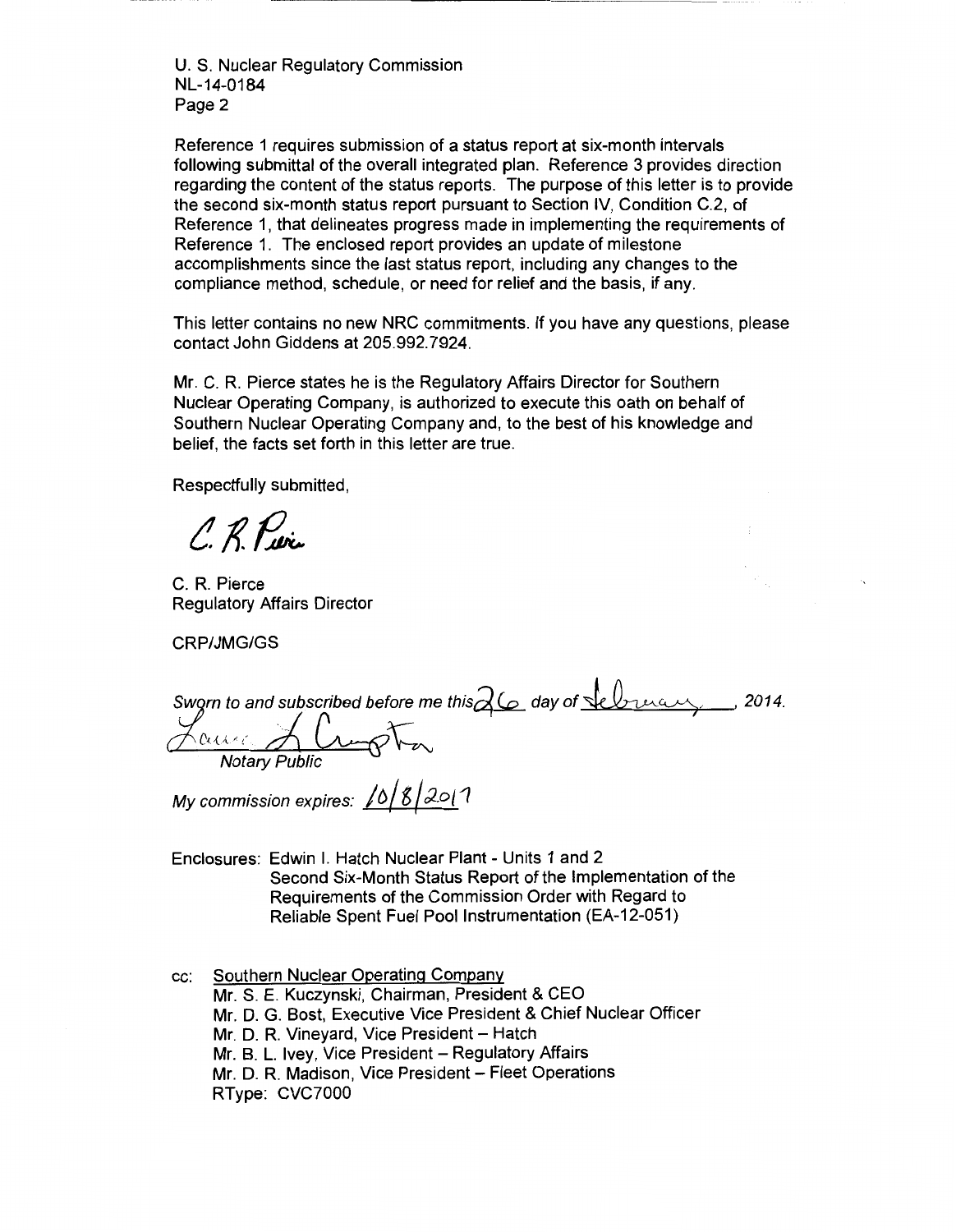U.S. Nuclear Regulatory Commission NL-14-0184 Page 2

Reference 1 requires submission of a status report at six-month intervals following submittal of the overall integrated plan. Reference 3 provides direction regarding the content of the status reports. The purpose of this letter is to provide the second six-month status report pursuant to Section IV, Condition C.2, of Reference 1, that delineates progress made in implementing the requirements of Reference 1. The enclosed report provides an update of milestone accomplishments since the last status report, including any changes to the compliance method, schedule, or need for relief and the basis, if any.

This letter contains no new NRC commitments. If you have any questions, please contact John Giddens at 205.992.7924.

Mr. C. R. Pierce states he is the Regulatory Affairs Director for Southern Nuclear Operating Company, is authorized to execute this oath on behalf of Southern Nuclear Operating Company and, to the best of his knowledge and belief, the facts set forth in this letter are true.

Respectfully submitted,

C. R. Puris

C. R. Pierce Regulatory Affairs Director

CRP/JMG/GS

Sworn to and subscribed before me this  $\alpha$  day of Selveran  $c_{\mathsf{u}}=A$  limpton Notary Public '2014.

My commission expires:  $10/8/20/7$ 

Enclosures: Edwin I. Hatch Nuclear Plant - Units 1 and 2 Second Six-Month Status Report of the Implementation of the Requirements of the Commission Order with Regard to Reliable Spent Fuel Pool Instrumentation (EA-12-051)

cc: Southern Nuclear Operating Company Mr. S. E. Kuczynski, Chairman, President & CEO Mr. D. G. Bast, Executive Vice President & Chief Nuclear Officer Mr. D. R. Vineyard, Vice President - Hatch Mr. B. L. Ivey, Vice President - Regulatory Affairs Mr. D. R. Madison, Vice President - Fleet Operations RType: CVC7000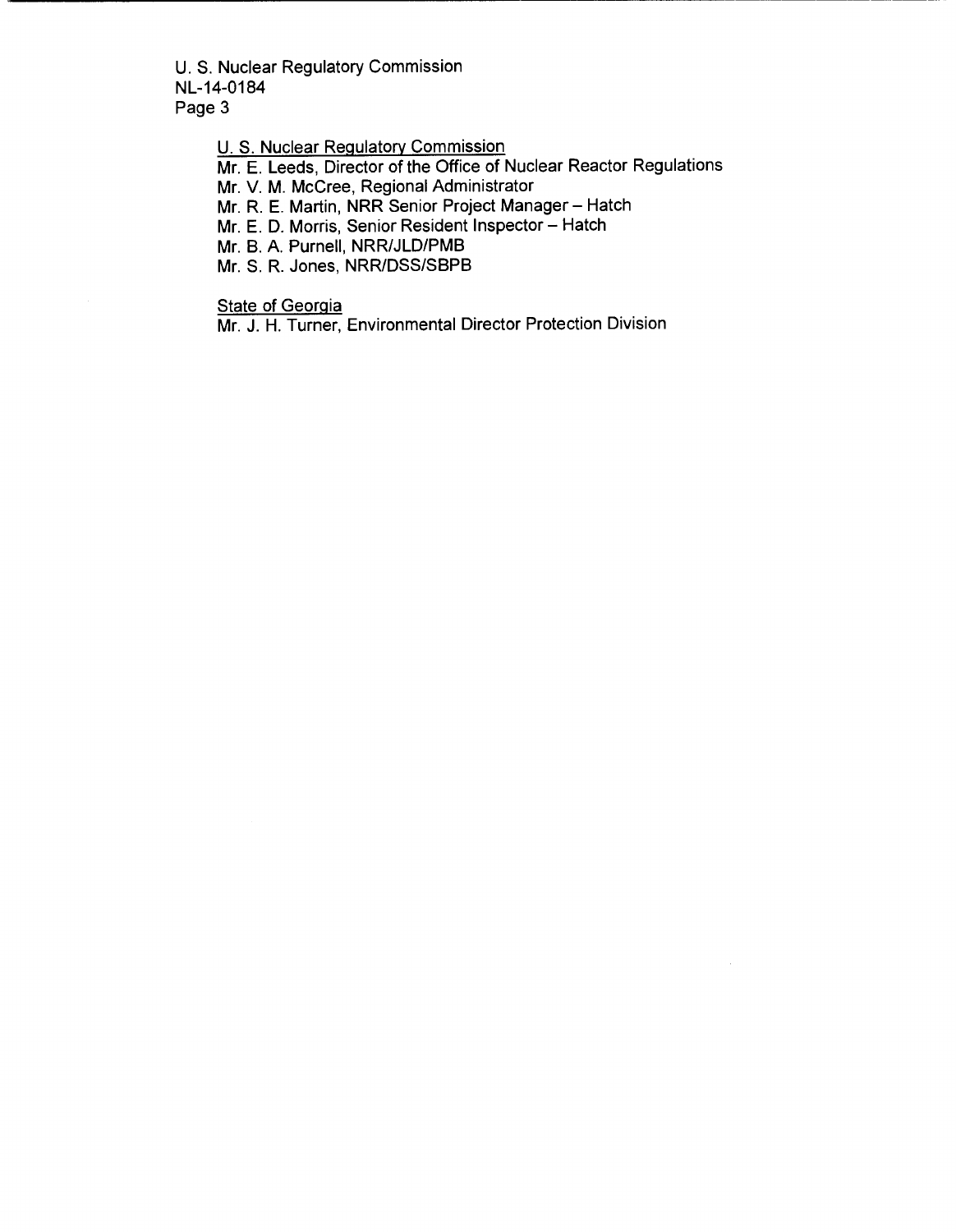U.S. Nuclear Regulatory Commission NL-14-0184 Page 3

U. S. Nuclear Regulatory Commission

Mr. E. Leeds, Director of the Office of Nuclear Reactor Regulations

Mr. V. M. McCree, Regional Administrator

Mr. R. E. Martin, NRR Senior Project Manager- Hatch

Mr. E. D. Morris, Senior Resident Inspector- Hatch

Mr. B. A. Purnell, NRR/JLD/PMB

Mr. S. R. Jones, NRR/DSS/SBPB

**State of Georgia** 

Mr. J. H. Turner, Environmental Director Protection Division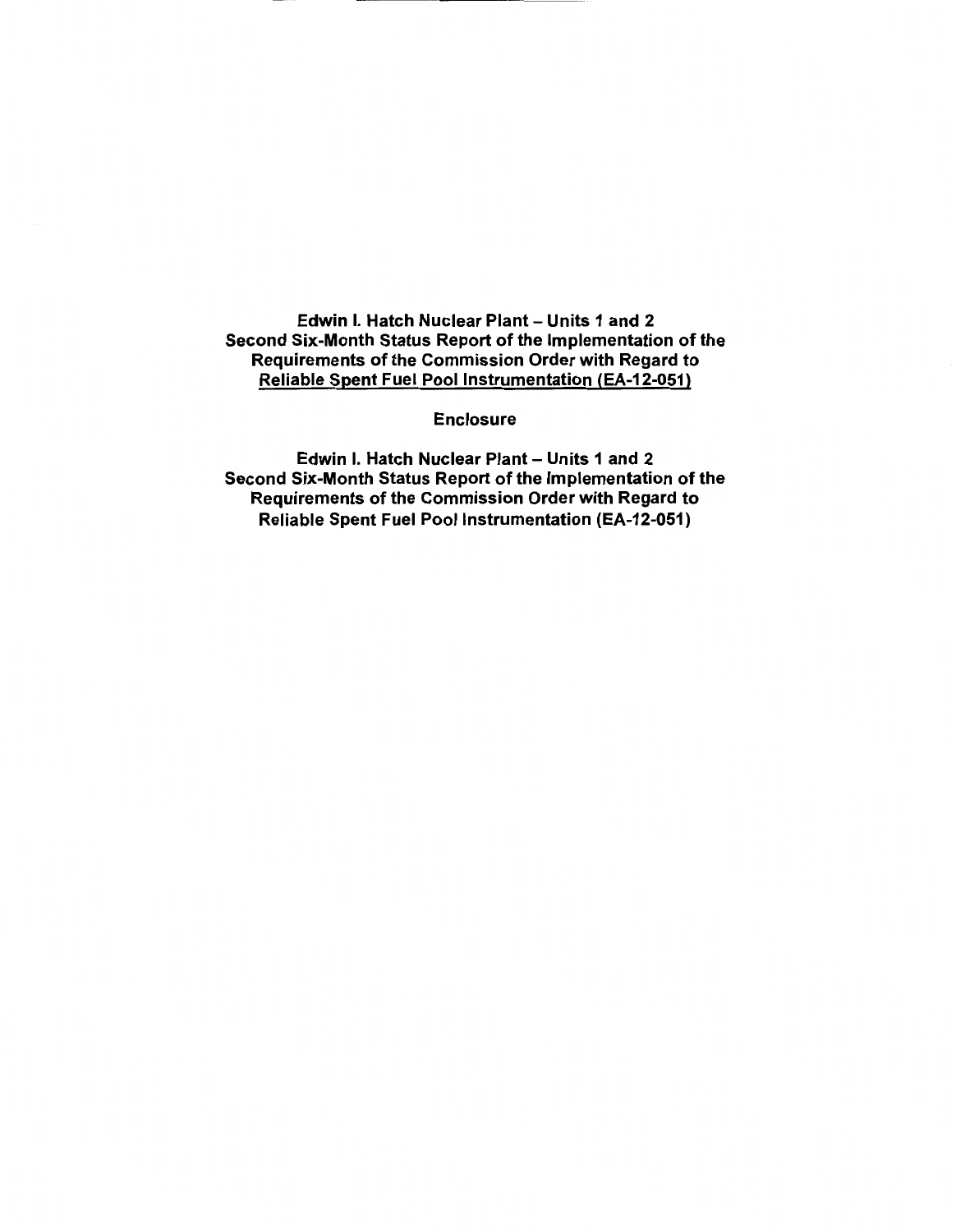Edwin I. Hatch Nuclear Plant- Units 1 and 2 Second Six-Month Status Report of the Implementation of the Requirements of the Commission Order with Regard to Reliable Spent Fuel Pool Instrumentation (EA-12-051)

Enclosure

Edwin I. Hatch Nuclear Plant- Units 1 and 2 Second Six-Month Status Report of the Implementation of the Requirements of the Commission Order with Regard to Reliable Spent Fuel Pool Instrumentation (EA-12-051)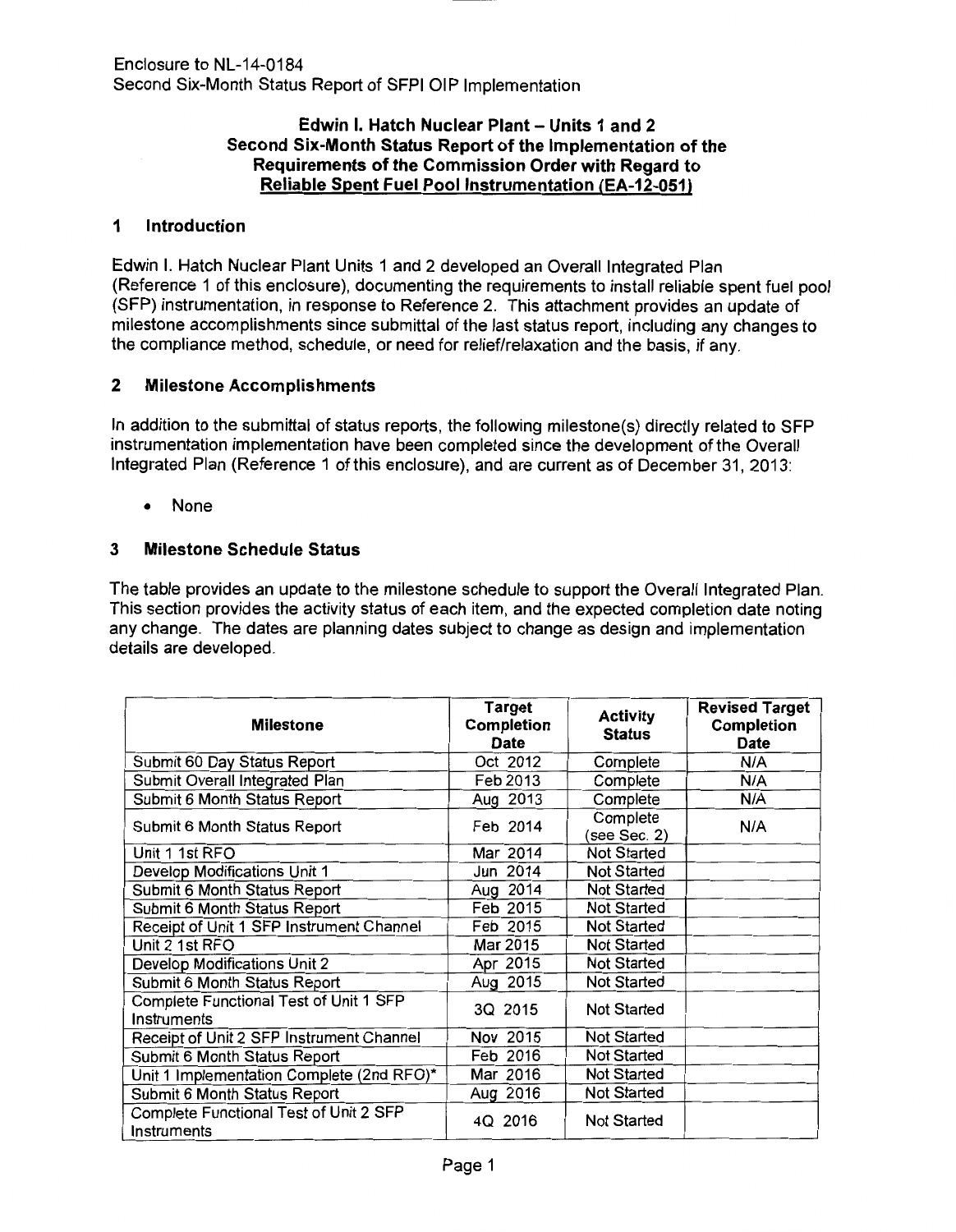# Edwin I. Hatch Nuclear Plant- Units 1 and 2 Second Six-Month Status Report of the Implementation of the Requirements of the Commission Order with Regard to Reliable Spent Fuel Pool Instrumentation (EA-12-051)

## 1 Introduction

Edwin I. Hatch Nuclear Plant Units 1 and 2 developed an Overall Integrated Plan (Reference 1 of this enclosure), documenting the requirements to install reliable spent fuel pool (SFP) instrumentation, in response to Reference 2. This attachment provides an update of milestone accomplishments since submittal of the last status report, including any changes to the compliance method, schedule, or need for relief/relaxation and the basis, if any.

# 2 Milestone Accomplishments

In addition to the submittal of status reports, the following milestone(s) directly related to SFP instrumentation implementation have been completed since the development of the Overall Integrated Plan (Reference 1 of this enclosure), and are current as of December 31, 2013:

• None

## 3 Milestone Schedule Status

The table provides an update to the milestone schedule to support the Overall Integrated Plan. This section provides the activity status of each item, and the expected completion date noting any change. The dates are planning dates subject to change as design and implementation details are developed.

| <b>Milestone</b>                                      | <b>Target</b><br>Completion<br><b>Date</b> | <b>Activity</b><br><b>Status</b> | <b>Revised Target</b><br>Completion<br>Date |
|-------------------------------------------------------|--------------------------------------------|----------------------------------|---------------------------------------------|
| Submit 60 Day Status Report                           | Oct 2012                                   | Complete                         | N/A                                         |
| Submit Overall Integrated Plan                        | Feb 2013                                   | Complete                         | N/A                                         |
| Submit 6 Month Status Report                          | Aug 2013                                   | Complete                         | N/A                                         |
| Submit 6 Month Status Report                          | Feb 2014                                   | Complete<br>(see Sec. 2)         | N/A                                         |
| Unit 1 1st RFO                                        | Mar 2014                                   | <b>Not Started</b>               |                                             |
| Develop Modifications Unit 1                          | Jun 2014                                   | <b>Not Started</b>               |                                             |
| Submit 6 Month Status Report                          | Aug 2014                                   | <b>Not Started</b>               |                                             |
| Submit 6 Month Status Report                          | Feb 2015                                   | <b>Not Started</b>               |                                             |
| Receipt of Unit 1 SFP Instrument Channel              | Feb 2015                                   | <b>Not Started</b>               |                                             |
| Unit 2 1st RFO                                        | Mar 2015                                   | <b>Not Started</b>               |                                             |
| Develop Modifications Unit 2                          | Apr 2015                                   | <b>Not Started</b>               |                                             |
| Submit 6 Month Status Report                          | Aug 2015                                   | <b>Not Started</b>               |                                             |
| Complete Functional Test of Unit 1 SFP<br>Instruments | 3Q 2015                                    | <b>Not Started</b>               |                                             |
| Receipt of Unit 2 SFP Instrument Channel              | Nov 2015                                   | <b>Not Started</b>               |                                             |
| Submit 6 Month Status Report                          | Feb 2016                                   | <b>Not Started</b>               |                                             |
| Unit 1 Implementation Complete (2nd RFO)*             | Mar 2016                                   | <b>Not Started</b>               |                                             |
| Submit 6 Month Status Report                          | Aug 2016                                   | Not Started                      |                                             |
| Complete Functional Test of Unit 2 SFP<br>Instruments | 4Q 2016                                    | <b>Not Started</b>               |                                             |